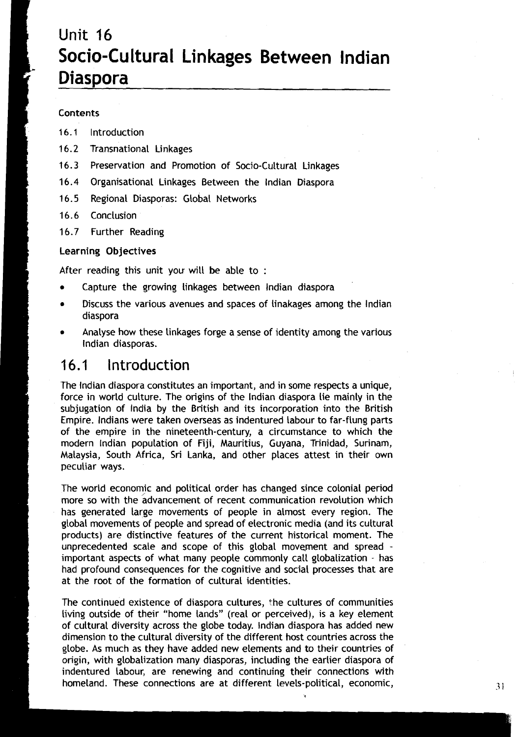# **<sup>I</sup>**Unit **16**  ; **Socio-Cultural Linkages Between lndian Diaspora**

### Contents

- 16.1 lntroduction
- 16.2 Transnational Linkages
- 16.3 Preservation and Promotion of Socio-Cultural Linkages
- 16.4 Organisational Linkages Between the lndian Diaspora
- 16.5 Regional Diasporas: Global Networks
- 16.6 Conclusion
- 16.7 Further Reading

### Learning Objectives

After reading this unit you will be able to :

- Capture the growing linkages between lndian diaspora
- Discuss the various avenues and spaces of linakages among the lndian diaspora
- Analyse how these linkages forge a sense of identity among the various lndian diasporas.

### **16.1** lntroduction

The lndian diaspora constitutes an important, and in some respects a unique, force in world culture. The origins of the lndian diaspora lie mainly in the subjugation of India by the British and its incorporation into the British Empire. Indians were taken overseas as indentured labour to far-flung parts of the empire in the nineteenth-century, a circumstance to which the modern Indian population of Fiji, Mauritius, Guyana, Trinidad, Surinam, Malaysia, South Africa, Sri Lanka, and other places attest in their own peculiar ways.

The world economic and political order has changed since colonial period more so with the advancement of recent communication revolution which has generated Large movements of people in almost every region. The global movements of people and spread of electronic media (and its cultural products) are distinctive features of the current historical moment. The unprecedented scale and scope of this global movement and spread important aspects of what many people commonly call globalization - has had profound consequences for the cognitive and social processes that are at the root of the formation of cultural identities.

The continued existence of diaspora cultures, the cultures of communities living outside of their "home lands" (real or perceived), is a key element of cultural diversity across the globe today. Indian diaspora has added new dimension to the cultural diversity of the different host countries across the globe. As much as they have added new elements and to their countries of origin, with globalization many diasporas, including the earlier diaspora of I origin, with globalization many diasporas, including the earlier diaspora of indentured labour, are renewing and continuing their connections with 1 homeland. These connections are at different levels-political, economic, **3** <sup>1</sup>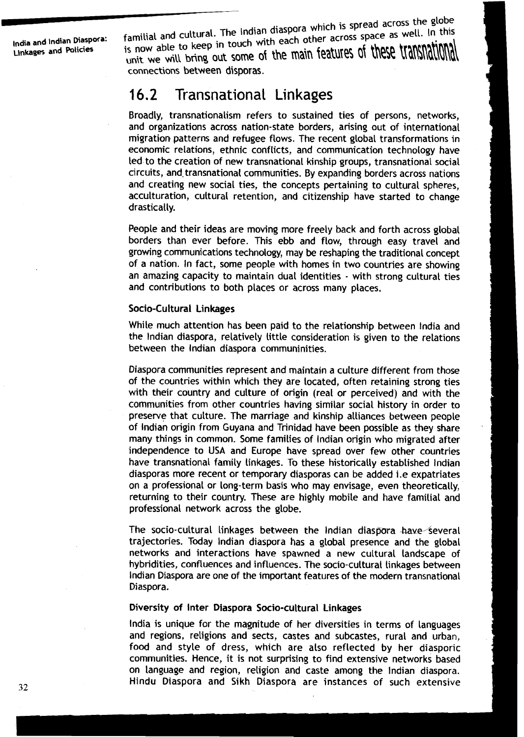India and Indian Diaspora:<br>
Linkages and Policies<br>
Integral of the With each other across space as v<br>
is now able to keep in touch with each other across space as v<br>
unit we will bring out some of the main features of the<br> <sub>nd Indian Diaspora: **familial and cultural.** The little with each other acros!</sub> he j lota and indian biasposes is now able to keep in touch With each other across in the same of these t In this now able to keep in touch with each other across space as well. In this init we will bring out some of the main features of these lidibild initial connections between **dispor** as.

## **16.2** Transnational **Linkages**

Broadly, transnationalism refers to sustained ties of persons, networks, and organizations across nation-state borders, arising out of international migration patterns and refugee flows. The recent global transformations in economic relations, ethnic conflicts, and communication technology have led to the creation of new transnational kinship groups, transnational social circuits, and-transnational communities. By expanding borders across nations and creating new social ties, the concepts pertaining to cultural spheres, acculturation, cultural retention, and citizenship have started to change drastically.

People and their ideas are moving more freely back and forth across global borders than ever before. This ebb and flow, through easy travel and growing communications technology, may be reshaping the traditional concept of a nation. In fact, some people with homes in two countries are showing an amazing capacity to maintain dual identities - with strong cultural ties and contributions to both places or across many places.

### Socio-Cultural Linkages

While much attention has been paid to the relationship between lndia and the lndian diaspora, relatively little consideration is given to the relations between the lndian diaspora communinities.

Diaspora communities represent and maintain a culture different from those of the countries within which they are located, often retaining strong ties with their country and culture of origin (real or perceived) and with the communities from other countries having similar social history in order to preserve that culture. The marriage and kinship alliances between people of lndik origin from Guyana and Trinidad have been possible as they share many things in common. Some families of lndian origin who migrated after independence to USA and Europe have spread over few other countries have transnational family linkages. To these historically established lndian diasporas more recent or temporary diasporas can be added i.e expatriates on a professional or long-term basis who may envisage, even theoretically, returning to their country. These are highly mobile and have familial and professional network across the globe.

The socio-cultural linkages between the Indian diaspora have several trajectories. Today lndian diaspora has a global presence and the global networks and interactions have spawned a new cultural landscape of hybridities, confluences and influences. The socio-cultural linkages between lndian Diaspora are one of the important features of the modern transnational Diaspora.

### Diversity of Inter Diaspora Socio-cultural Linkages

lndia is unique for the magnitude of her diversities in terms of languages and regions, religions and sects, castes and subcastes, rural and urban, food and style of dress, which are also reflected by her diasporic communities. Hence, it is not surprising to find extensive networks based on language and region, religion and caste among the lndian diaspora. Hindu Diaspora and Sikh Diaspora are instances of such extensive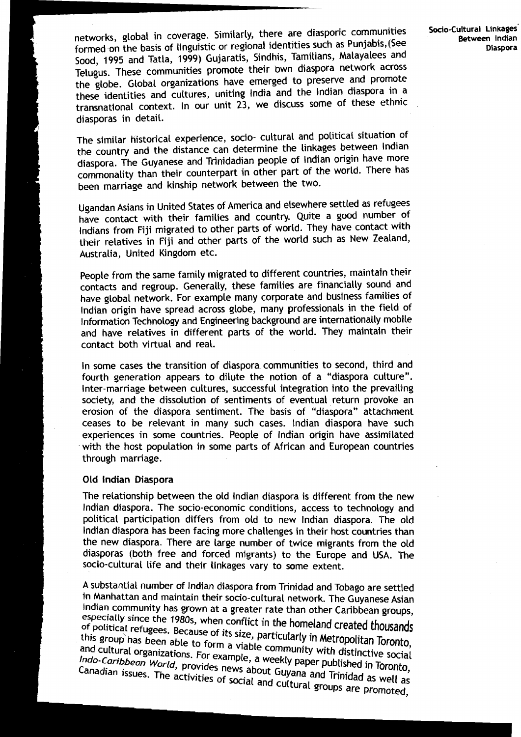networks, global in coverage. Similarly, there are diasporic communities **Socio-Cultural Linkages Socio-Cultural Linkages** formed on the basis of linguistic or regional identities such as Punjabis, (See **Between Indian** so0d, **1995** and Tatla, **1999)** Gujaratis, Sindhis, Tamilians, Malayalees and Telugus. These communities promote their bwn diaspora network across the globe. Global organizations have emerged to preserve and promote these identities and cultures, uniting India and the Indian diaspora in a transnational context. In our unit 23, we discuss some of these ethnic diasporas in detail.

The similar historical experience, socio- cultural and political situation of the country and the distance can determine the linkages between Indian diaspora. The Guyanese and Trinidadian people of Indian origin have more commonality than their counterpart in other part of the world. There has been marriage and kinship network between the two.

Ugandan Asians in United States of America and elsewhere settled as refugees have contact with their families and country. Quite a good number of Indians from Fiji migrated to other parts of world. They have contact with their relatives in Fiji and other parts of the world such as New Zealand, Australia, United Kingdom etc.

People from the same family migrated to different countries, maintain their contacts and regroup. Generally, these families are financially sound and have global network. For example many corporate and business families of lndian origin have spread across globe, many professionals in the field of Information Technology and Engineering background are internationally mobile and have relatives in different parts of the world. They maintain their contact both virtual and real.

In some cases the transition of diaspora communities to second, third and fourth generation appears to dilute the notion of a "diaspora culture". Inter-marriage between cultures, successful integration into the prevailing society, and the dissolution of sentiments of eventual return provoke an erosion of the diaspora sentiment. The basis of "diaspora" attachment ceases to be relevant in many such cases. lndian diaspora have such experiences in some countries. People of lndian origin have assimilated with the host population in some parts of African and European countries through marriage.

#### Old lndian Diaspora

The relationship between the old lndian diaspora is different from the new lndian diaspora. The socio-economic conditions, access to technology and political participation differs from old to new lndian diaspora. The old lndian diaspora has been facing more challenges in their host countries than the new diaspora. There are large number of twice migrants from the old diasporas (both free and forced migrants) to the Europe and USA. 'The socio-cultural life and their linkages vary to some extent.

A substantial number of lndian diaspora from Trinidad and Tobago are settled in Manhattan and maintain their socio-cultural network. The Guyanese Asian Indian community has grown at a greater rate than other Caribbean groups, since the 1980s, when conflict in the homeland **created** thowands **Of** "OstiCa1 refugees. Because of its size, particularly **in** Metropoiitan Toronto, this group has been able to form a viable community with distinctive social and cultural organizations. For example, a weekly paper published in Toronto, Indo-Caribbean World, provides news about Guyana and Trinidad as well as The activities of social and cultural and Trinidad<br>The activities of social and cultural groups are

**7**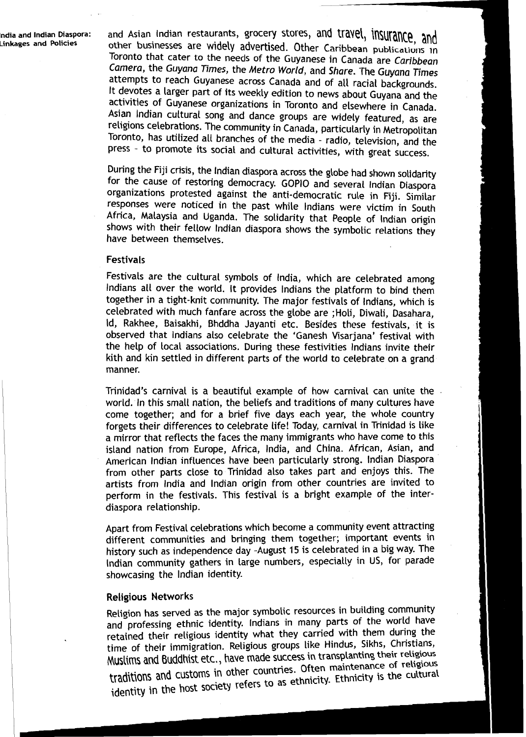**lndia Linkages and Policies** 

and Asian Indian restaurants, grocery stores, and travel, insurance, and **he all and** *a* **he collect and Policies and Policies and Policies and Policies in Policies in** Toronto that cater **to** the needs of the Guyanese in Canada are Caribbean Camera, the Guyana **Times,** the Metro World, and Share. The Guyana **Times**  attempts to reach Guyanese across Canada and of all racial backgrounds, It devotes a larger part of its weekly edition to news about Guyana and the activities of Guyanese organizations in Toronto and elsewhere in Canada. Asian Indian cultural song and dance groups are widely featured, as are religions celebrations. The community in Canada, particularly in Metropolitan Toronto, has utilized all branches of the media - radio, television, and the press - to promote its social and cultural activities, with great success.

During the Fiji crisis, the Indian diaspora across the globe had shown solidarity for the cause of restoring democracy. GOPlO and several Indian Diaspora organizations protested against the anti-democratic rule in Fiji. Similar responses were noticed in the past while lndians were victim in south Africa, Malaysia and Uganda. The solidarity that People of Indian origin shows with their fellow lndian diaspora shows the symbolic relations they have between themselves.

### Festivals

Festivals are the cultural symbols of India, which are celebrated among lndians all over the world. It provides lndians the platform to bind them together in a tight-knit community. The major festivals of Indians, which is celebrated with much fanfare across the globe are ;Holi, Diwali, Dasahara, Id, Rakhee, Baisakhi, Bhddha Jayanti etc. Besides these festivals, it is observed that lndians also celebrate the 'Ganesh Visarjana' festival with the help of local associations. During these festivities lndians invite their kith and kin settled in different parts of the world to celebrate on a grand manner.

Trinidad's carnival is a beautiful example of how carnival can unite the . world. In this small nation, the beliefs and traditions of many cultures have come together; and for a brief five days each year, the whole country forgets their differences to celebrate life! Today, carnival in Trinidad is like a mirror that reflects the faces the many immigrants who have come to this island nation from Europe, Africa, India, and China. African, Asian, and American lndian influences have been particularly strong. lndian Diaspora from other parts close to Trinidad also takes part and enjoys this. The artists from lndia and lndian origin from other countries are invited to perform in the festivals. This festival is a bright example of the interdiaspora relationship.

Apart from Festival celebrations which become a community event attracting different communities and bringing them together; important events in history such as independence day -August 15 is celebrated in a big way. The Indian community gathers in large numbers, especially in US, for parade showcasing the lndian identity.

### Religious Networks

Religion has served as the major symbolic resources in building community and professing ethnic identity. lndians in many Parts of the world have retained their religious identity what they carried with them during the tirne of their immigration. Religious groups like Hindus, Sikhs, Christians, Muslims and Buddhist etc., have made success in transplanting their religious traditions and  $\epsilon$ <sup>1</sup>, in the countries. Often maintenance of religiously identity in the host society refers to as ethnicity. Ethnicity is the cultural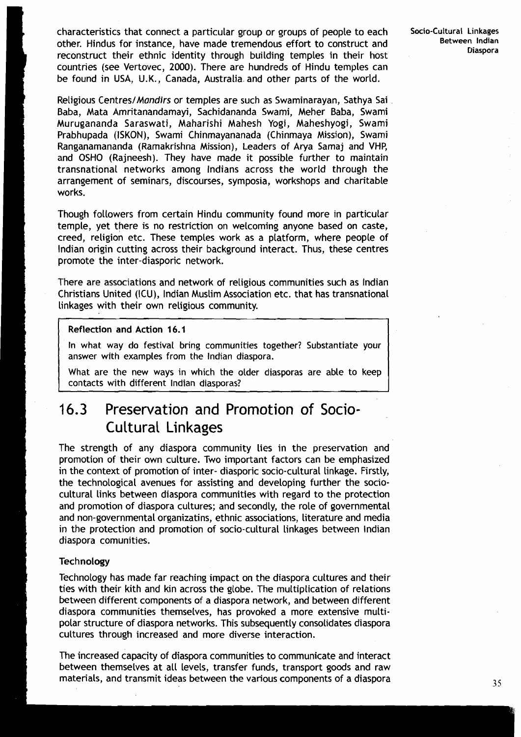characteristics that connect a particular group or groups of people to each other. Hindus for instance, have made tremendous effort to construct and <sup>I</sup>reconstruct their ethnic identity through building temples in their host countries (see Vertovec, 2000). There are hundreds of Hindu temples can be found in USA, U.K., Canada, Australia. and other parts of the world.

Religious Centres/*Mandirs* or temples are such as Swaminarayan, Sathya Sai Baba, Mata Amritanandamayi, Sachidananda Swami, Meher Baba, Swami Murugananda Saraswati, Maharishi Mahesh Yogi, Maheshyogi, Swami Prabhupada (ISKON), Swami Chinmayananada (Chinmaya Mission), Swami Ranganamananda (Ramakrishna Mission), Leaders of Arya Samaj and VHP, and OSHO (Rajneesh). They have made it possible further to maintain transnational networks among Indians across the world through the arrangement of seminars, discourses, symposia, workshops and charitable works.

Though followers from certain Hindu community found more in particular temple, yet there is no restriction on welcoming anyone based on caste, creed, religion etc. These temples work as a platform, where people of lndian origin cutting across their background interact. Thus, these centres promote the inter-diasporic network.

There are associations and network of religious communities such as lndian Christians United (ICU), lndian Muslim Association etc. that has transnational linkages with their own religious community.

### Reflection and Action 16.1

In what way do festival bring communities together? Substantiate your answer with examples from the lndian diaspora.

What are the new ways in which the older diasporas are able to keep contacts with different lndian diasporas?

### **16.3** Preservation and Promotion of Socio-Cultural Linkages

The strength of any diaspora community lies in the preservation and promotion of their own culture. Two important factors can be emphasized in the context of promotion of inter- diasporic socio-cultural linkage. Firstly, the technological avenues for assisting and developing further the sociocultural links between diaspora communities with regard to the protection and promotion of diaspora cultures; and secondly, the role of governmental and non-governmental organizatins, ethnic associations, literature and media in the protection and promotion of socio-cultural linkages between lndian diaspora comunities.

### **Technology**

Technology has made far reaching impact on the diaspora cultures and their ties with their kith and kin across the globe. The multiplication of relations between different components of a diaspora network, and between different diaspora communities themselves, has provoked a more extensive multipolar structure of diaspora networks. This subsequently consolidates diaspora cultures through increased and more diverse interaction.

The increased capacity of diaspora communities to communicate and interact between themselves at all levels, transfer funds, transport goods and raw materials, and transmit ideas between the various components of a diaspora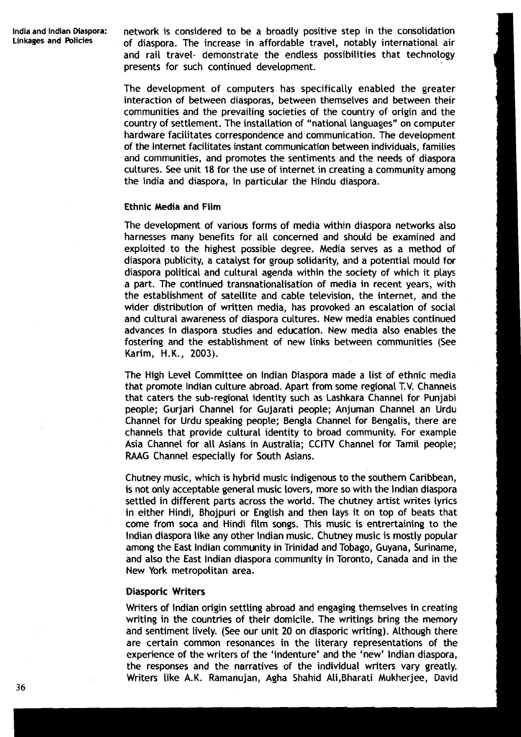**lndia and lndian Diaspora:** network is considered to be a broadly positive step in the consolidation of diaspora. The increase in affordable travel, notably international air and rail travel- demonstrate the endless possibilities that technology presents for such continued development.

> The development of computers has specifically enabled the greater interaction of between diasporas, between themselves and between their communities and the prevailing societies of the country of origin and the country of settlement. The installation of "national languages" on computer hardware facilitates correspondence and communication. The development of the Internet facilitates instant communication between individuals, families and communities, and promotes the sentiments and the needs of diaspora cultures. See unit 18 for the use of internet in creating a community among the lndia and diaspora, in particular the Hindu diaspora.

#### Ethnic Media and Film

The development of various forms of media within diaspora networks also harnesses many benefits for all concerned and should be examined and exploited to the highest possible degree. Media serves as a method of diaspora publicity, a catalyst for group solidarity, and a potential mould for diaspora political and cultural agenda within the society of which it plays a part. The continued transnationalisation of media in recent years, with the establishment of satellite and cable television, the internet, and the wider distribution of written media, has provoked an escalation of social and cultural awareness of diaspora cultures. New media enables continued advances in diaspora studies and education. New media also enables the fostering and the establishment of new links between communities (See Karim, H.K., **2003).** 

The High Level Committee on lndian Diaspora made a list of ethnic media that promote lndian culture abroad. Apart from some regional T.V. Channels that caters the sub- regional identity such as Lashkara Channel for Punjabi people; Gurjari Channel for Gujarati people; Anjuman Channel an Urdu Channel for Urdu speaking people; Bengla Channel for Bengalis, there are channels that provide cultural identity to broad community. For example Asia Channel for all Asians in Australia; CCITV Channel for Tamil people; RAAG Channel especially for South Asians.

Chutney music, which is hybrid music indigenous to the southern Caribbean, is not only acceptable general music lovers, more so with the lndian diaspora settled in different parts across the world. The chutney artist writes lyrics in either Hindi, Bhojpuri or English and then lays it on top of beats that come from soca and Hindi film songs. This music is entrertaining to the lndian diaspora like any other lndian music. Chutney music is mostly popular among the East lndian community in Trinidad and Tobago, Guyana, Suriname, and also the East lndian diaspora community in Toronto, Canada and in the New York metropolitan area.

### Diasporic Writers

Writers of lndian origin settling abroad and engaging themselves in creating writing in the countries of their domicile. The writings bring the memory and sentiment lively. (See our unit **20** on diasporic writing). Although there are certain common resonances in the Literary representations of the experience of the writers of the 'indenture' and the 'new' lndian diaspora, the responses and the narratives of the individual writers vary greatly. Writers like A.K. Ramanujan, Agha Shahid Ali,Bharati Mukherjee, David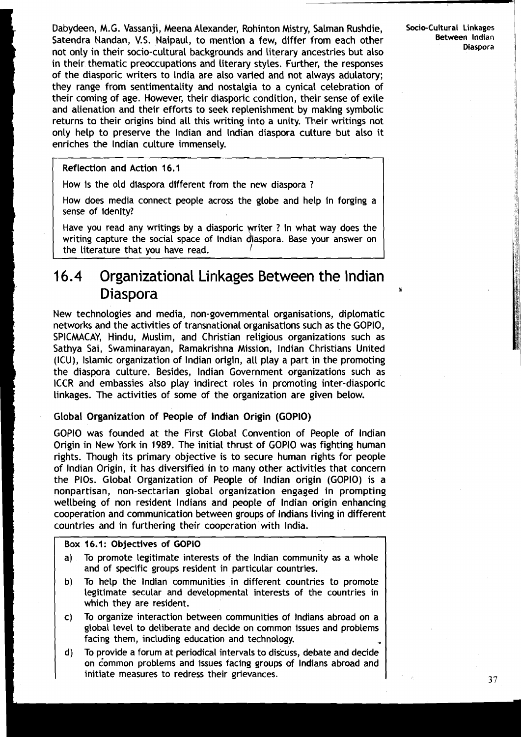Dabydeen, M.G. Vassanji, Meena Alexander, Rohinton Mistry, Salman Rushdie, Socio-Cultural **Linkages**  Satendra Nandan, V.S. Naipaul, to mention a few, differ from each other **Between Indian Diaspora** not only in their socio-cultural backgrounds and literary ancestries but also in their thematic preoccupations and literary styles. Further, the responses of the diasporic writers to India are also varied and not always adulatory; **I** they range from sentimentality and nostalgia to a cynical celebration of their coming of age. However, their diasporic condition, their sense of exile and alienation and their efforts to seek replenishment by making symbolic returns to their origins bind all this writing into a unity. Their writings not only help to preserve the lndian and lndian diaspora culture but also it enriches the lndian culture immensely.

Reflection and Action **16.1** 

How is the old diaspora different from the new diaspora ?

How does media connect people across the globe and help in forging a sense of idenity?

Have you read any writings by a diasporic writer ? In what way does the<br>writing capture the social space of Indian diaspora. Base your answer on writing capture the social space of lndian d'aspora. Base your answer on the literature that you have read.

### 16.4 Organizational Linkages Between the Indian **Diaspora**

New technologies and media, non-governmental organisations, diplomatic networks and the activities of transnational organisations such as the GOPIO, SPICMACAY, Hindu, Muslim, and Christian religious organizations such as Sathya Sai, Swaminarayan, Ramakrishna Mission, lndian Christians United (ICU), Islamic organization of lndian origin, all play a part in the promoting the diaspora culture. Besides, lndian Government organizations such as ICCR and embassies also play indirect roles in promoting inter-diasporic linkages. The activities of some of the organization are given below.

### Global Organization of People of lndian Origin (GOPIO)

GOPlO was founded at the First Global Convention of People of lndian Origin in New York in 1989. The initial thrust of GOPlO was fighting human rights. Though its primary objective is to secure human rights for people of lndian Origin, it has diversified in to many other activities that concern the PlOs. Global Organization of People of lndian origin (GOPIO) is a nonpartisan, non-sectarian global organization engaged in prompting wellbeing of non resident lndians and people of lndian origin enhancing cooperation and communication between groups of lndians living in different countries and in furthering their cooperation with India.

### Box **16.1:** Objectives of GOPlO

- a) To promote legitimate interests of the lndian community as a whole and of specific groups resident in particular countries.
- b) To help the lndian communities in different countries to promote legitimate secular and developmental interests of the countries in which they are resident.
- c) To organize interaction between communities of lndians abroad on a global level to deliberate and decide on common issues and problems facing them, including education and technology.
- d) To provide a forum at periodical intervals to discuss, debate and decide on common problems and issues facing groups of Indians abroad and initiate measures to redress their grievances.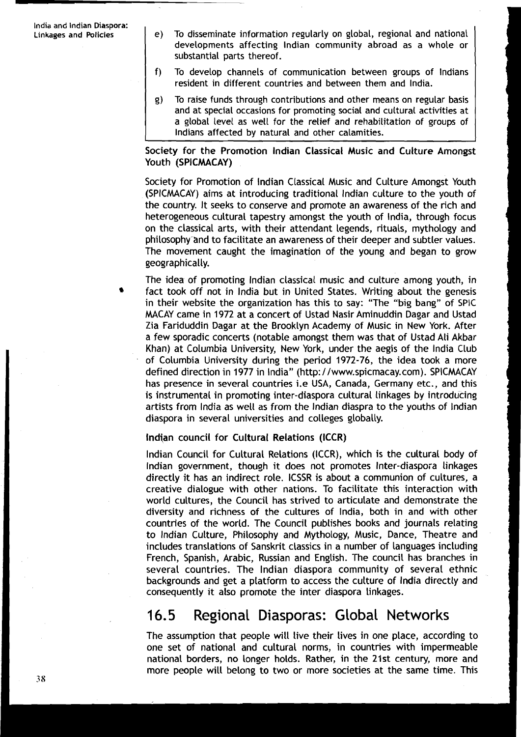- **Linkages and Policies** e) To disseminate information regularly on global, regional and national developments affecting lndian community abroad as a whole or substantial parts thereof.
	- f) To develop channels of communication between groups of Indians resident in different countries and between them and India.
	- g) To raise funds through contributions and other means on regular basis and at special occasions for promoting social and cultural activities at a global level as well for the relief and rehabilitation of groups of Indians affected by natural and other calamities.

### Society for the Promotion lndian Classical Music and Culture Amongst Youth (SPICMACAY)

Society for Promotion of lndian Classical Music and Culture Amongst Youth (SPICMACAY) aims at introducing traditional lndian culture to the youth of the country. It seeks to conserve and promote an awareness of the rich and heterogeneous cultural tapestry amongst the youth of India, through focus on the classical arts, with their attendant legends, rituals, mythology and philosophy-and to facilitate an awareness of their deeper and subtler values. The movement caught the imagination of the young and began to grow geographically.

The idea of promoting lndian classical music and culture among youth, in fact took off not in lndia but in United States. Writing about the genesis in their website the organization has this to say: "The "big bang" of SPIC MACAY came in 1972 at a concert of Ustad Nasir Aminuddin Dagar and Ustad Zia Fariduddin Dagar at the Brooklyn Academy of Music in New York. After a few sporadic concerts (notable amongst them was that of Ustad Ali Akbar Khan) at Columbia University, New York, under the aegis of the lndia Club of Columbia University during the period 1972-76, the idea took a more defined direction in 1977 in India" (http: / /www.spicmacay.com). SPICMACAY has presence in several countries i.e USA, Canada, Germany etc., and this is instrumental in promoting inter-diaspora cultural linkages by introducing artists from lndia as well as from the lndian diaspra to the youths of lndian diaspora in several universities and colleges globally.

### Indian council for Cultural Relations (ICCR)

lndian Council for Cultural Relations (ICCR), which is the cultural body of lndian government, though it does not promotes Inter-diaspora linkages directly it has an indirect role. ICSSR is about a communion of cultures, a creative dialogue with other nations. To facilitate this interaction with world cultures, the Council has strived to articulate and demonstrate the diversity and richness of the cultures of India, both in and with other countries of the world. The Council publishes books and journals relating to lndian Culture, Philosophy and Mythology, Music, Dance, Theatre and includes translations of Sanskrit classics in a number of languages including French, Spanish, Arabic, Russian and English. The council has branches in several countries. The lndian diaspora community of several ethnic backgrounds and get a platform to access the culture of lndia directly and consequently it also promote the inter diaspora linkages.

### 16.5 Regional Diasporas: Global Networks

The assumption that people will live their lives in one place, according to one set of national and cultural norms, in countries with impermeable national borders, no longer holds. Rather, in the 21st century, more and more people will belong to two or more societies at the same time. This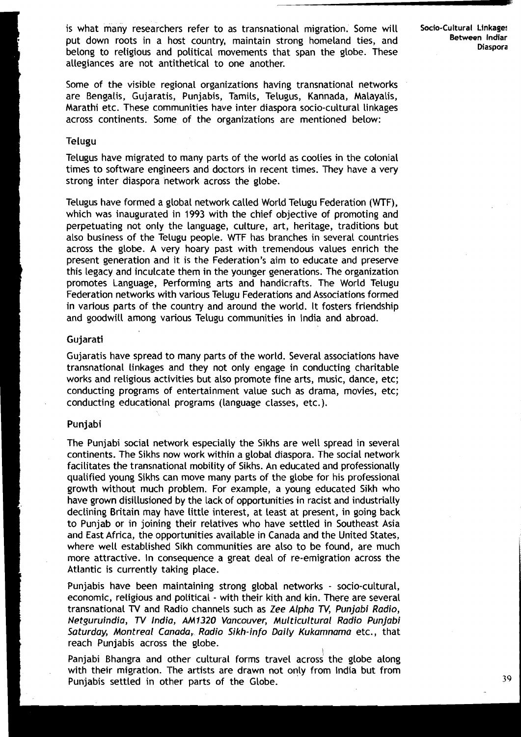is what many researchers refer to as transnational migration. Some will **Socio-Cultural Linkage!**  put down roots in a host country, maintain strong homeland ties, and **Between Indiar Between** Indiar belong to religious and political movements that span the globe. These allegiances are not antithetical to one another.

Some of the visible regional organizations having transnational networks are Bengalis, Gujaratis, Punjabis, Tamils, Telugus, Kannada, Malayalis, Marathi etc. These communities have inter diaspora socio-cultural linkages across continents. Some of the organizations are mentioned below:

### Telugu

Telugus have migrated to many parts of the world as coolies in the colonial times to software engineers and doctors in recent times. They have a very strong inter diaspora network across the globe.

Telugus have formed a global network called World Telugu Federation (WTF), which was inaugurated in 1993 with the chief objective of promoting and perpetuating not only the language, culture, art, heritage, traditions but also business of the Telugu people. WTF has branches in several countries across the globe. A very hoary past with tremendous values enrich the present generation and it is the Federation's aim to educate and preserve this legacy and inculcate them in the younger generations. The organization promotes Language, Performing arts and handicrafts. The World Telugu Federation networks with various Telugu Federations and Associations formed in various parts of the country and around the world. It fosters friendship and goodwill among various Telugu communities in lndia and abroad.

#### Gujarati

Gujaratis have spread to many parts of the world. Several associations have transnational linkages and they not only engage in conducting charitable works and religious activities but also promote fine arts, music, dance, etc; conducting programs of entertainment value such as drama, movies, etc; conducting educational programs (language classes, etc.).

### Punjabi

The Punjabi social network especially the Sikhs are well spread in several continents. The Sikhs now work within a global diaspora. The social network facilitates the transnational mobility of Sikhs. An educated and professionally qualified young Sikhs can move many parts of the globe for his professional growth without much problem. For example, a young educated Sikh who have grown disillusioned by the lack of opportunities in racist and industrially declining Britain may have little interest, at least at present, in going back to Punjab or in joining their relatives who have settled in Southeast Asia and East Africa, the opportunities available in Canada and the United States, where well established Sikh communities are also to be found, are much more attractive. In consequence a great deal of re-emigration across the Atlantic is currently taking place.

Punjabis have been maintaining strong global networks - socio-cultural, economic, religious and political - with their kith and kin. There are several transnational N and Radio channels such as Zee Alpha **N,** Punjabi Radio, Netguruindia, **N** India, AM 1320 Vancouver, Mu1 ticul tural Radio Punjabi Saturday, Montreal Canada,, Radio Sikh-info Daily Kukamnama etc., that reach Punjabis across the globe.

Panjabi Bhangra and other cultural forms travel across the globe along with their migration. The artists are drawn not only from lndia but from Punjabis settled in other parts of the Globe. **39** 39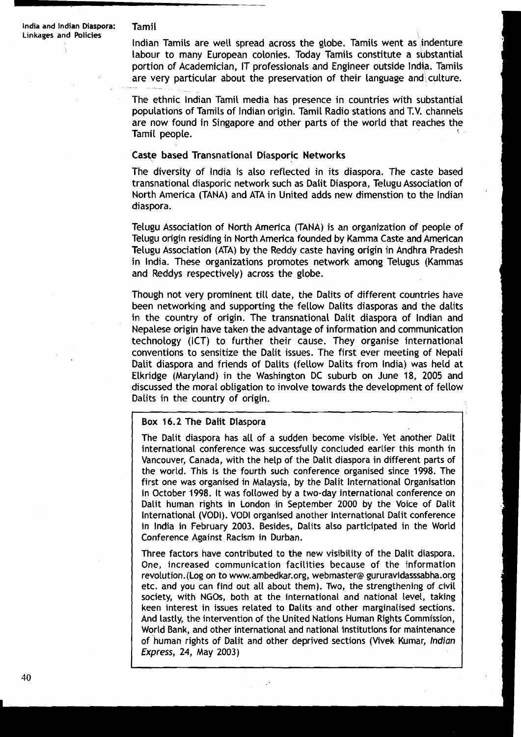**Linkages and Policies** , lndian Tamils are well spread across the globe. Tamils went as indenture labour to many European colonies. Today Tamils constitute a substantial portion of Academician, IT professionals and Engineer outside India. Tamils are very particular about the preservation of their language and culture.

> The ethnic lndian Tamil media has presence in countries with substantial populations of Tamils of lndian origin. Tamil Radio stations and T.V. channels are now found in Singapore and other parts of the world that reaches the Tamil people.

### Caste based Transnational Diasporic Networks

The diversity of lndia is also reflected in its diaspora. The caste based transnational diasporic network such as Dalit Diaspora, Telugu Association of North America (TANA) and ATA in United adds new dimenstion to the lndian diaspora.

Telugu Association of North America (TANA) is an organization of people of Telugu origin residing in North America founded by Kamma Caste and American Telugu Association (ATA) by the Reddy caste having origin in Andhra Pradesh in India. These organizations promotes network among Telugus (Kammas and Reddys respectively) across the globe.

Though not very prominent till date, the Dalits of different countries have been networking and supporting the fellow Dalits diasporas and the dalits in the country of origin. The transnational Dalit diaspora of lndian and Nepalese origin have taken the advantage of information and communication technology (ICT) to further their cause. They organise international conventions to sensitize the Dalit issues. The first ever meeting of Nepali Dalit diaspora and friends of Dalits (fellow Dalits from India) was held at Elkridge (Maryland) in the Washington DC suburb on June 18, 2005 and discussed the moral obligation to involve towards the development of fellow Dalits in the country of origin.

#### Box 16.2 The Dalit Dlaspora

The Dalit diaspora has all of a sudden become visible. Yet another Dalit international conference was successfully concluded earlier this month in Vancouver, Canada, with the help of the Dalit diaspora in different parts of the world. This is the fourth such conference organised since 1998. The first one was organised in Malaysia, by the Dalit International Organisation in October 1998. It was followed by a two-day international conference on Dalit human rights in London in September 2000 by the Voice of Dalit lnternational (VODI). VODI organised another lnternational Dalit conference in lndia in February 2003. Besides, Dalits also participated in the World Conference Against Racism in Durban.

Three factors have contributed to the new visibility of the Dalit diaspora. One, increased communication facilities because of the information revolution.(Log on to www.ambedkar.org, webmaster@ gururavidasssabha.org etc. and you can find out all about them). Two, the strengthening of civil society, with NGOs, both at the international and national level, taking keen interest in issues related to Dalits and other marginalised sections. And lastly, the intervention of the United Nations Human Rights Commission, World Bank, and other international and national institutions for maintenance of human rights of Dalit and other deprived sections (Vivek Kumar, lndian Express, 24, May 2003)